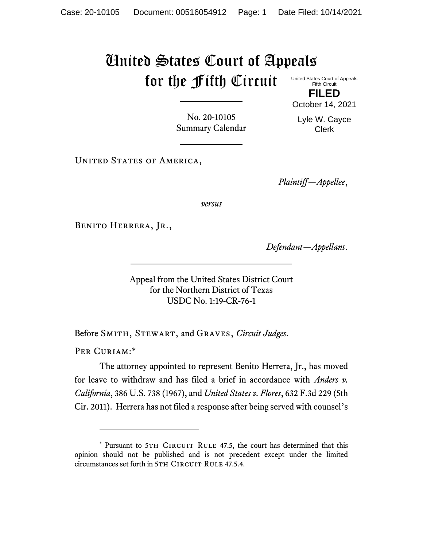## United States Court of Appeals for the Fifth Circuit

United States Court of Appeals Fifth Circuit **FILED**

No. 20-10105 Summary Calendar

Lyle W. Cayce Clerk

October 14, 2021

UNITED STATES OF AMERICA,

*Plaintiff—Appellee*,

*versus*

Benito Herrera, Jr.,

*Defendant—Appellant*.

Appeal from the United States District Court for the Northern District of Texas USDC No. 1:19-CR-76-1

Before Smith, Stewart, and Graves, *Circuit Judges*.

PER CURIAM:\*

The attorney appointed to represent Benito Herrera, Jr., has moved for leave to withdraw and has filed a brief in accordance with *Anders v. California*, 386 U.S. 738 (1967), and *United States v. Flores*, 632 F.3d 229 (5th Cir. 2011). Herrera has not filed a response after being served with counsel's

<sup>\*</sup> Pursuant to 5TH CIRCUIT RULE 47.5, the court has determined that this opinion should not be published and is not precedent except under the limited circumstances set forth in 5TH CIRCUIT RULE 47.5.4.